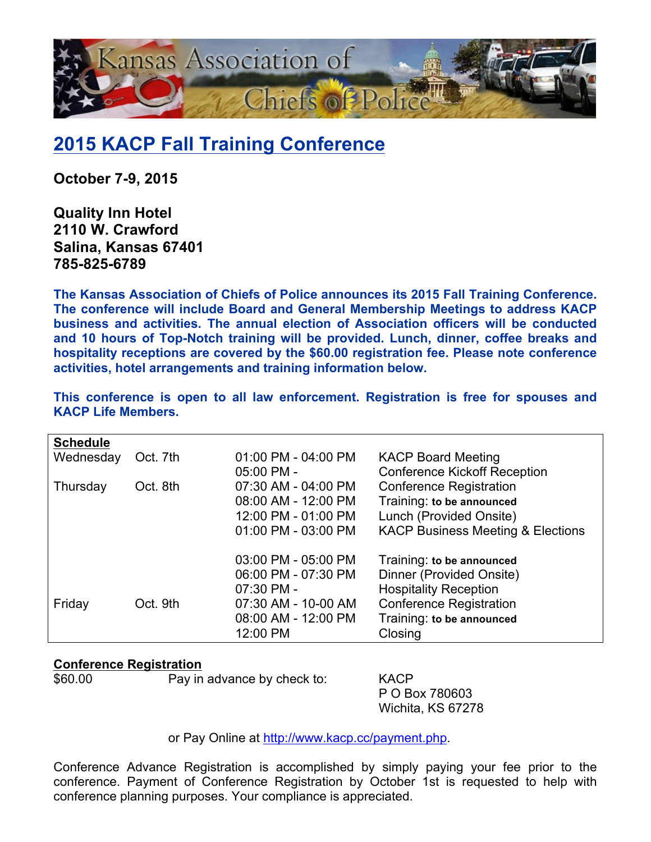

## **2015 KACP Fall Training Conference**

**October 7-9, 2015**

**Quality Inn Hotel 2110 W. Crawford Salina, Kansas 67401 785-825-6789**

**The Kansas Association of Chiefs of Police announces its 2015 Fall Training Conference. The conference will include Board and General Membership Meetings to address KACP business and activities. The annual election of Association officers will be conducted and 10 hours of Top-Notch training will be provided. Lunch, dinner, coffee breaks and hospitality receptions are covered by the \$60.00 registration fee. Please note conference activities, hotel arrangements and training information below.**

| <b>Schedule</b> |          |                     |                                              |
|-----------------|----------|---------------------|----------------------------------------------|
| Wednesday       | Oct. 7th | 01:00 PM - 04:00 PM | <b>KACP Board Meeting</b>                    |
|                 |          | 05:00 PM -          | <b>Conference Kickoff Reception</b>          |
| Thursday        | Oct. 8th | 07:30 AM - 04:00 PM | <b>Conference Registration</b>               |
|                 |          | 08:00 AM - 12:00 PM | Training: to be announced                    |
|                 |          | 12:00 PM - 01:00 PM | Lunch (Provided Onsite)                      |
|                 |          | 01:00 PM - 03:00 PM | <b>KACP Business Meeting &amp; Elections</b> |
|                 |          | 03:00 PM - 05:00 PM | Training: to be announced                    |
|                 |          | 06:00 PM - 07:30 PM | Dinner (Provided Onsite)                     |
|                 |          | 07:30 PM -          | <b>Hospitality Reception</b>                 |
| Friday          | Oct. 9th | 07:30 AM - 10-00 AM | <b>Conference Registration</b>               |
|                 |          | 08:00 AM - 12:00 PM | Training: to be announced                    |
|                 |          | 12:00 PM            | Closing                                      |

**This conference is open to all law enforcement. Registration is free for spouses and KACP Life Members.**

## **Conference Registration**

\$60.00 Pay in advance by check to: KACP

P O Box 780603 Wichita, KS 67278

or Pay Online at http://www.kacp.cc/payment.php.

Conference Advance Registration is accomplished by simply paying your fee prior to the conference. Payment of Conference Registration by October 1st is requested to help with conference planning purposes. Your compliance is appreciated.